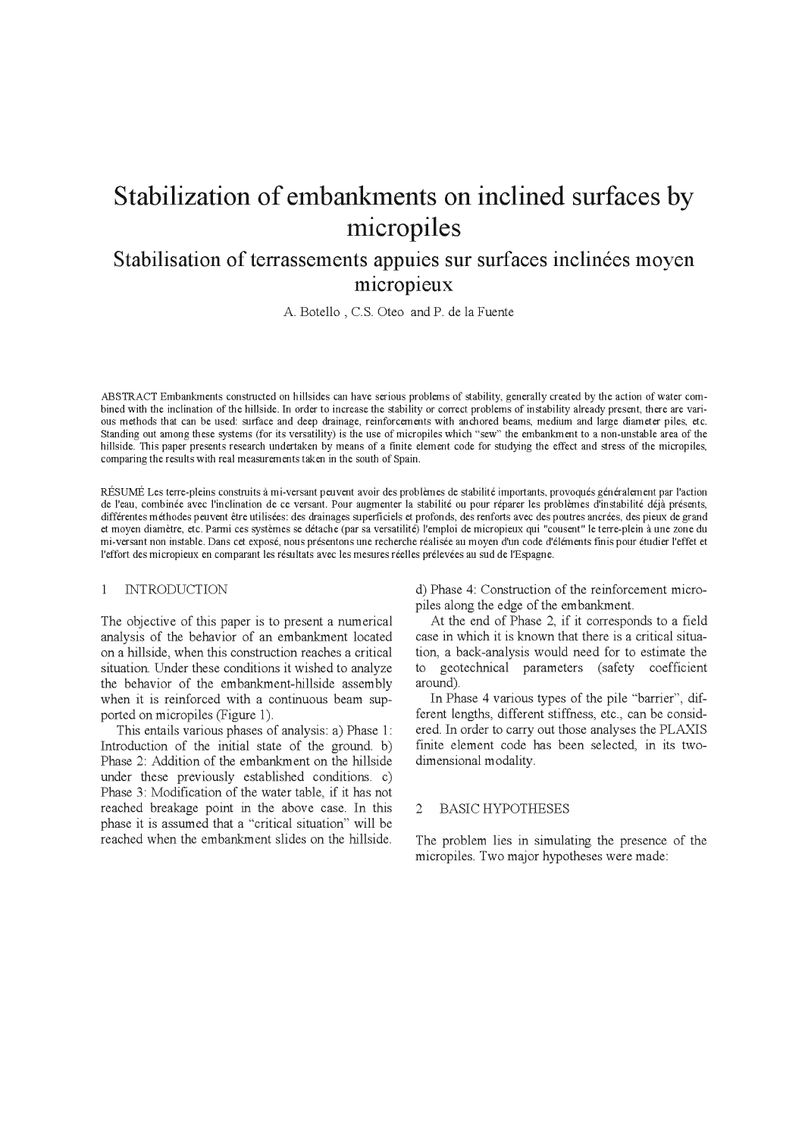# Stabilization of embankments on inclined surfaces by micropiles

## Stabilisation of terrassements appuies sur surfaces inclinées moyen micropieux

A. Botello, C.S. Oteo and P. de la Fuente

ABSTRACT Embankments constructed on hillsides can have serious problems of stability, generally created by the action of water combined with the inclination of the hillside. In order to increase the stability or correct problems of instability already present, there are various methods that can be used: surface and deep drainage, reinforcements with anchored beams, medium and large diameter piles, etc. Standing out among these systems (for its versatility) is the use of micropiles which "sew" the embankment to a non-unstable area of the hillside. This paper presents research undertaken by means of a finite element code for studying the effect and stress of the micropiles, comparing the results with real measurements taken in the south of Spain.

RÉSUMÉ Les terre-pleins construits à mi-versant peuvent avoir des problèmes de stabilité importants, provoqués généralement par l'action de l'eau, combinée avec l'inclination de ce versant. Pour augmenter la stabilité ou pour réparer les problèmes d'instabilité déjà présents, différentes méthodes peuvent être utilisées: des drainages superficiels et profonds, des renforts avec des poutres ancrées, des pieux de grand et moyen diamètre, etc. Parmi ces systèmes se détache (par sa versatilité) l'emploi de micropieux qui "cousent" le terre-plein à une zone du mi-versant non instable. Dans cet exposé, nous présentons une recherche réalisée au moyen d'un code d'éléments finis pour étudier l'effet et l'effort des micropieux en comparant les résultats avec les mesures réelles prélevées au sud de l'Espagne.

#### $\mathbf{1}$ **INTRODUCTION**

The objective of this paper is to present a numerical analysis of the behavior of an embankment located on a hillside, when this construction reaches a critical situation. Under these conditions it wished to analyze the behavior of the embankment-hillside assembly when it is reinforced with a continuous beam supported on micropiles (Figure 1).

This entails various phases of analysis: a) Phase 1: Introduction of the initial state of the ground. b) Phase 2: Addition of the embankment on the hillside under these previously established conditions. c) Phase 3: Modification of the water table, if it has not reached breakage point in the above case. In this phase it is assumed that a "critical situation" will be reached when the embankment slides on the hillside.

d) Phase 4: Construction of the reinforcement micropiles along the edge of the embankment.

At the end of Phase 2, if it corresponds to a field case in which it is known that there is a critical situation, a back-analysis would need for to estimate the to geotechnical parameters (safety coefficient around).

In Phase 4 various types of the pile "barrier", different lengths, different stiffness, etc., can be considered. In order to carry out those analyses the PLAXIS finite element code has been selected, in its twodimensional modality.

#### **BASIC HYPOTHESES**  $\overline{2}$

The problem lies in simulating the presence of the micropiles. Two major hypotheses were made: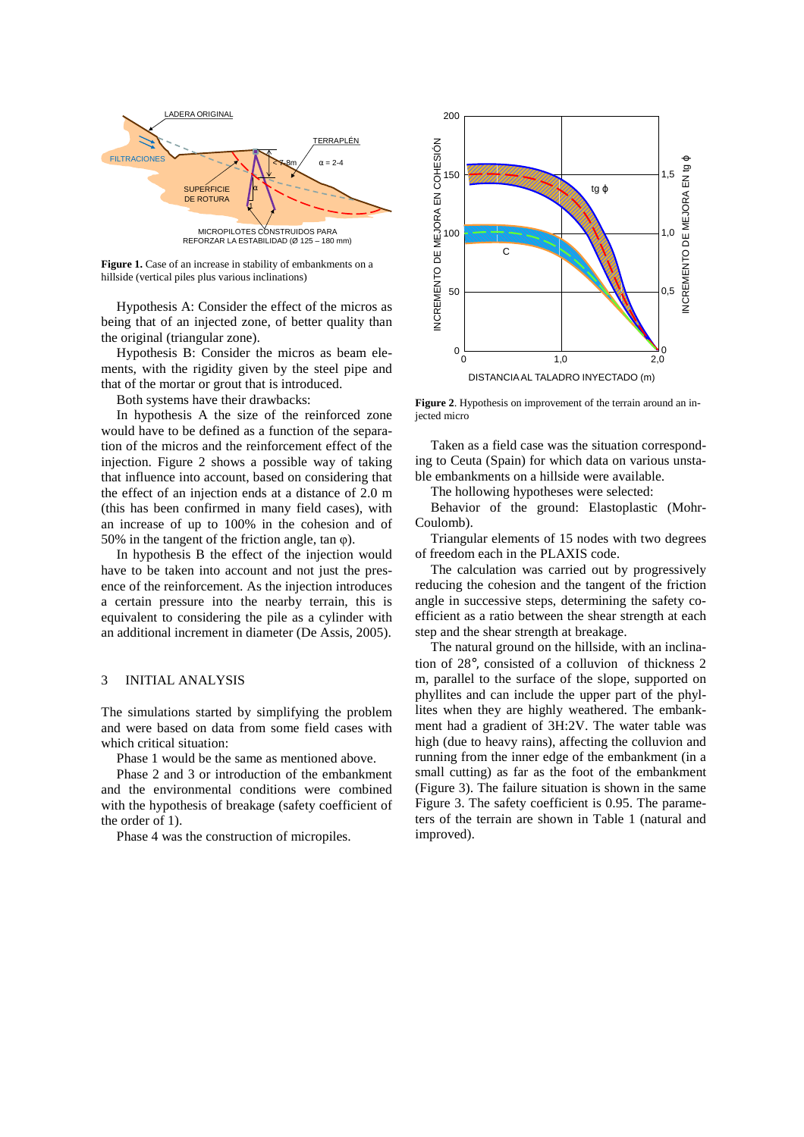

Figure 1. Case of an increase in stability of embankments on a hillside (vertical piles plus various inclinations)

Hypothesis A: Consider the effect of the micros as being that of an injected zone, of better quality than the original (triangular zone).

Hypothesis B: Consider the micros as beam elements, with the rigidity given by the steel pipe and that of the mortar or grout that is introduced.

Both systems have their drawbacks:

In hypothesis A the size of the reinforced zone would have to be defined as a function of the separation of the micros and the reinforcement effect of the injection. Figure 2 shows a possible way of taking that influence into account, based on considering that the effect of an injection ends at a distance of 2.0 m (this has been confirmed in many field cases), with an increase of up to 100% in the cohesion and of 50% in the tangent of the friction angle, tan φ).

In hypothesis B the effect of the injection would have to be taken into account and not just the presence of the reinforcement. As the injection introduces a certain pressure into the nearby terrain, this is equivalent to considering the pile as a cylinder with an additional increment in diameter (De Assis, 2005).

#### 3 INITIAL ANALYSIS

The simulations started by simplifying the problem and were based on data from some field cases with which critical situation:

Phase 1 would be the same as mentioned above.

Phase 2 and 3 or introduction of the embankment and the environmental conditions were combined with the hypothesis of breakage (safety coefficient of the order of 1).

Phase 4 was the construction of micropiles.



**Figure 2**. Hypothesis on improvement of the terrain around an injected micro

Taken as a field case was the situation corresponding to Ceuta (Spain) for which data on various unstable embankments on a hillside were available.

The hollowing hypotheses were selected:

Behavior of the ground: Elastoplastic (Mohr-Coulomb).

Triangular elements of 15 nodes with two degrees of freedom each in the PLAXIS code.

The calculation was carried out by progressively reducing the cohesion and the tangent of the friction angle in successive steps, determining the safety coefficient as a ratio between the shear strength at each step and the shear strength at breakage.

The natural ground on the hillside, with an inclination of 28°, consisted of a colluvion of thickness 2 m, parallel to the surface of the slope, supported on phyllites and can include the upper part of the phyllites when they are highly weathered. The embankment had a gradient of 3H:2V. The water table was high (due to heavy rains), affecting the colluvion and running from the inner edge of the embankment (in a small cutting) as far as the foot of the embankment (Figure 3). The failure situation is shown in the same Figure 3. The safety coefficient is 0.95. The parameters of the terrain are shown in Table 1 (natural and improved).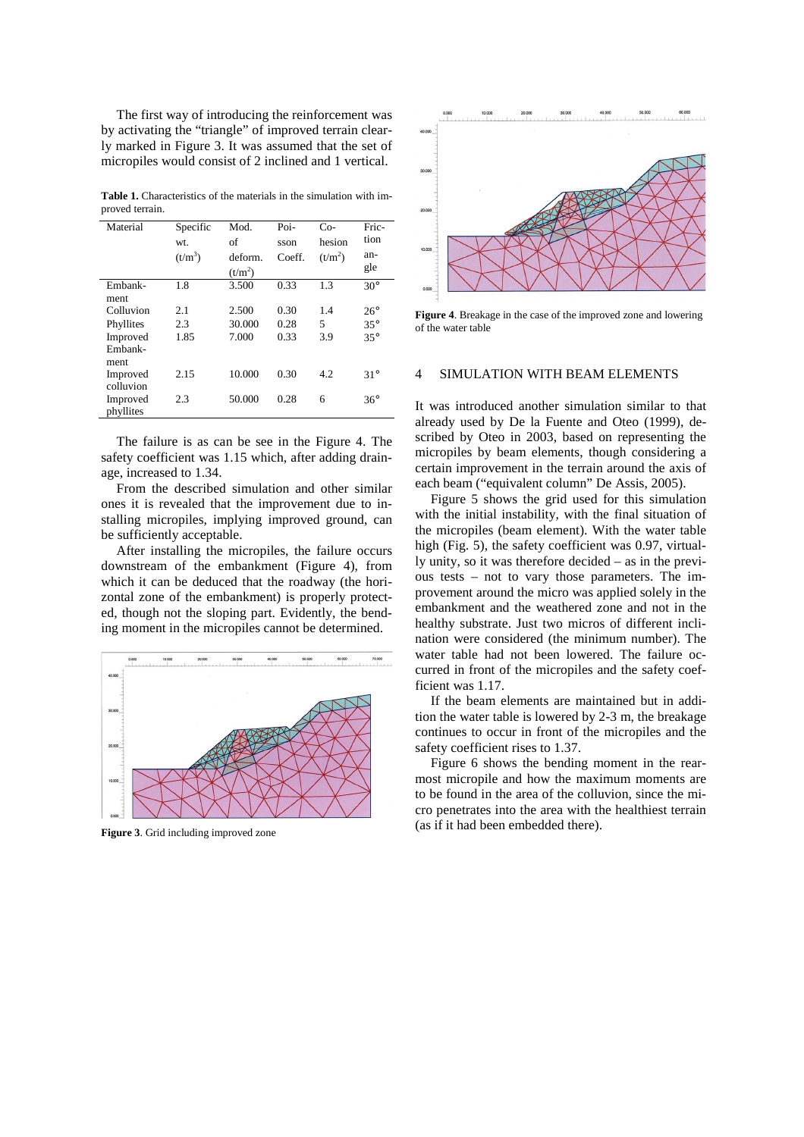The first way of introducing the reinforcement was by activating the "triangle" of improved terrain clearly marked in Figure 3. It was assumed that the set of micropiles would consist of 2 inclined and 1 vertical.

**Table 1.** Characteristics of the materials in the simulation with improved terrain.

| Material                    | Specific<br>wt. | Mod.<br>of           | Poi-<br>sson | Co-<br>hesion | Fric-<br>tion |
|-----------------------------|-----------------|----------------------|--------------|---------------|---------------|
|                             | $(t/m^3)$       | deform.<br>$(t/m^2)$ | Coeff.       | $(t/m^2)$     | an-<br>gle    |
| Embank-<br>ment             | 1.8             | 3.500                | 0.33         | 1.3           | $30^\circ$    |
| Colluvion                   | 2.1             | 2.500                | 0.30         | 1.4           | $26^{\circ}$  |
| Phyllites                   | 2.3             | 30.000               | 0.28         | 5             | $35^\circ$    |
| Improved<br>Embank-<br>ment | 1.85            | 7.000                | 0.33         | 3.9           | $35^\circ$    |
| Improved<br>colluvion       | 2.15            | 10.000               | 0.30         | 4.2           | $31^\circ$    |
| Improved<br>phyllites       | 2.3             | 50.000               | 0.28         | 6             | $36^\circ$    |

The failure is as can be see in the Figure 4. The safety coefficient was 1.15 which, after adding drainage, increased to 1.34.

From the described simulation and other similar ones it is revealed that the improvement due to installing micropiles, implying improved ground, can be sufficiently acceptable.

After installing the micropiles, the failure occurs downstream of the embankment (Figure 4), from which it can be deduced that the roadway (the horizontal zone of the embankment) is properly protected, though not the sloping part. Evidently, the bending moment in the micropiles cannot be determined.



**Figure 3**. Grid including improved zone



**Figure 4**. Breakage in the case of the improved zone and lowering of the water table

#### 4 SIMULATION WITH BEAM ELEMENTS

It was introduced another simulation similar to that already used by De la Fuente and Oteo (1999), described by Oteo in 2003, based on representing the micropiles by beam elements, though considering a certain improvement in the terrain around the axis of each beam ("equivalent column" De Assis, 2005).

Figure 5 shows the grid used for this simulation with the initial instability, with the final situation of the micropiles (beam element). With the water table high (Fig. 5), the safety coefficient was 0.97, virtually unity, so it was therefore decided – as in the previous tests – not to vary those parameters. The improvement around the micro was applied solely in the embankment and the weathered zone and not in the healthy substrate. Just two micros of different inclination were considered (the minimum number). The water table had not been lowered. The failure occurred in front of the micropiles and the safety coefficient was 1.17.

If the beam elements are maintained but in addition the water table is lowered by 2-3 m, the breakage continues to occur in front of the micropiles and the safety coefficient rises to 1.37.

Figure 6 shows the bending moment in the rearmost micropile and how the maximum moments are to be found in the area of the colluvion, since the micro penetrates into the area with the healthiest terrain (as if it had been embedded there).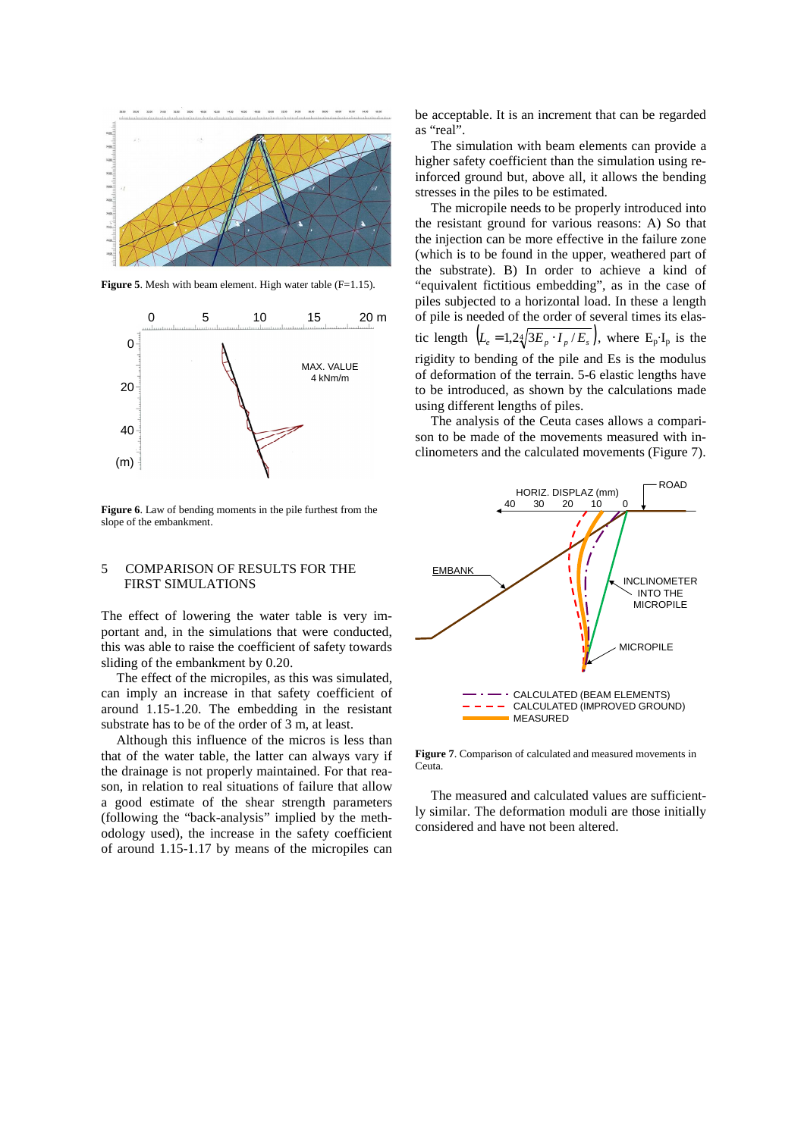

**Figure 5**. Mesh with beam element. High water table (F=1.15).



**Figure 6**. Law of bending moments in the pile furthest from the slope of the embankment.

#### 5 COMPARISON OF RESULTS FOR THE FIRST SIMULATIONS

The effect of lowering the water table is very important and, in the simulations that were conducted, this was able to raise the coefficient of safety towards sliding of the embankment by 0.20.

The effect of the micropiles, as this was simulated, can imply an increase in that safety coefficient of around 1.15-1.20. The embedding in the resistant substrate has to be of the order of 3 m, at least.

Although this influence of the micros is less than that of the water table, the latter can always vary if the drainage is not properly maintained. For that reason, in relation to real situations of failure that allow a good estimate of the shear strength parameters (following the "back-analysis" implied by the methodology used), the increase in the safety coefficient of around 1.15-1.17 by means of the micropiles can be acceptable. It is an increment that can be regarded as "real".

The simulation with beam elements can provide a higher safety coefficient than the simulation using reinforced ground but, above all, it allows the bending stresses in the piles to be estimated.

The micropile needs to be properly introduced into the resistant ground for various reasons: A) So that the injection can be more effective in the failure zone (which is to be found in the upper, weathered part of the substrate). B) In order to achieve a kind of "equivalent fictitious embedding", as in the case of piles subjected to a horizontal load. In these a length of pile is needed of the order of several times its elastic length  $\left( L_e = 1.24 \sqrt{3E_p \cdot I_p / E_s} \right)$ , where  $E_p I_p$  is the rigidity to bending of the pile and Es is the modulus of deformation of the terrain. 5-6 elastic lengths have to be introduced, as shown by the calculations made using different lengths of piles.

The analysis of the Ceuta cases allows a comparison to be made of the movements measured with inclinometers and the calculated movements (Figure 7).



**Figure 7**. Comparison of calculated and measured movements in Ceuta.

The measured and calculated values are sufficiently similar. The deformation moduli are those initially considered and have not been altered.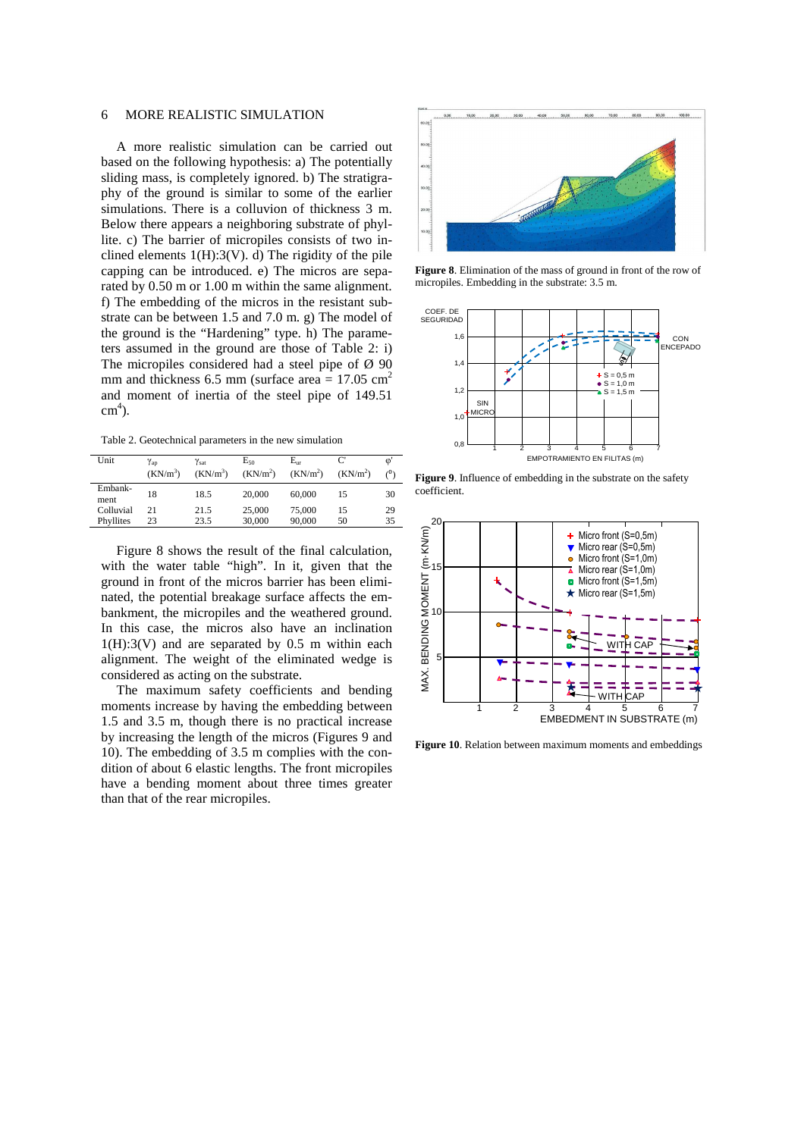### 6 MORE REALISTIC SIMULATION

A more realistic simulation can be carried out based on the following hypothesis: a) The potentially sliding mass, is completely ignored. b) The stratigraphy of the ground is similar to some of the earlier simulations. There is a colluvion of thickness 3 m. Below there appears a neighboring substrate of phyllite. c) The barrier of micropiles consists of two inclined elements  $1(H):3(V)$ . d) The rigidity of the pile capping can be introduced. e) The micros are separated by 0.50 m or 1.00 m within the same alignment. f) The embedding of the micros in the resistant substrate can be between 1.5 and 7.0 m. g) The model of the ground is the "Hardening" type. h) The parameters assumed in the ground are those of Table 2: i) The micropiles considered had a steel pipe of  $\varnothing$  90 mm and thickness 6.5 mm (surface area  $= 17.05$  cm<sup>2</sup> and moment of inertia of the steel pipe of 149.51  $\text{cm}^4$ ).

Table 2. Geotechnical parameters in the new simulation

| Unit            | $\gamma_{\rm{ap}}$   | $\gamma_{\text{sat}}$ | $E_{50}$             | $E_{nr}$             | C                    | $\omega$<br>(0) |
|-----------------|----------------------|-----------------------|----------------------|----------------------|----------------------|-----------------|
|                 | (KN/m <sup>3</sup> ) | (KN/m <sup>3</sup> )  | (KN/m <sup>2</sup> ) | (KN/m <sup>2</sup> ) | (KN/m <sup>2</sup> ) |                 |
| Embank-<br>ment | 18                   | 18.5                  | 20,000               | 60,000               | 15                   | 30              |
| Colluvial       | 21                   | 21.5                  | 25,000               | 75,000               | 15                   | 29              |
| Phyllites       | 23                   | 23.5                  | 30,000               | 90,000               | 50                   | 35              |

Figure 8 shows the result of the final calculation, with the water table "high". In it, given that the ground in front of the micros barrier has been eliminated, the potential breakage surface affects the embankment, the micropiles and the weathered ground. In this case, the micros also have an inclination  $1(H):3(V)$  and are separated by 0.5 m within each alignment. The weight of the eliminated wedge is considered as acting on the substrate.

The maximum safety coefficients and bending moments increase by having the embedding between 1.5 and 3.5 m, though there is no practical increase by increasing the length of the micros (Figures 9 and 10). The embedding of 3.5 m complies with the condition of about 6 elastic lengths. The front micropiles have a bending moment about three times greater than that of the rear micropiles.



**Figure 8**. Elimination of the mass of ground in front of the row of micropiles. Embedding in the substrate: 3.5 m.



**Figure 9**. Influence of embedding in the substrate on the safety coefficient.



**Figure 10**. Relation between maximum moments and embeddings